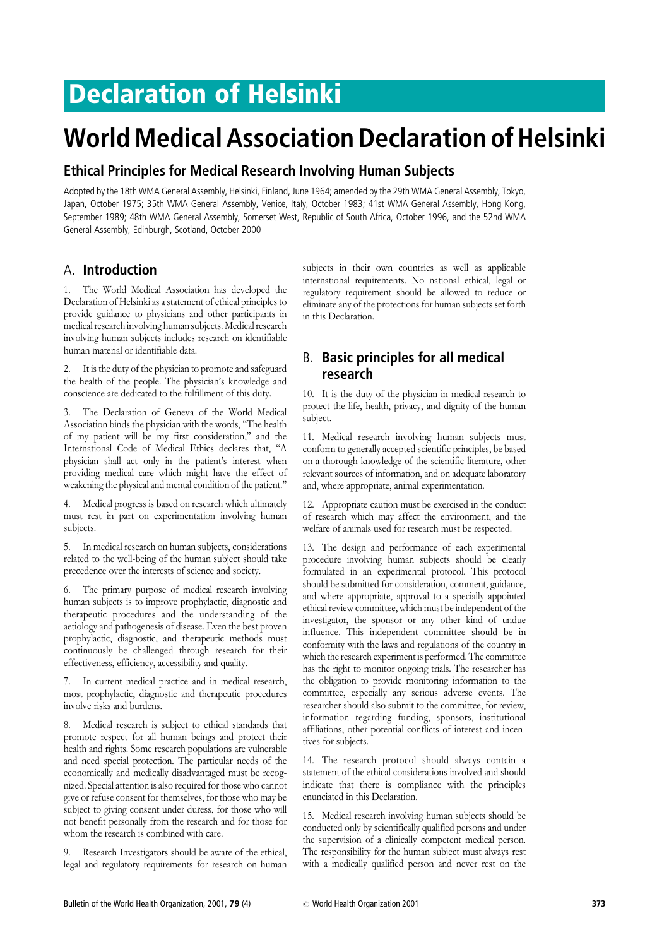## Declaration of Helsinki

# World Medical Association Declaration of Helsinki

#### Ethical Principles for Medical Research Involving Human Subjects

Adopted by the 18th WMA General Assembly, Helsinki, Finland, June 1964; amended by the 29th WMA General Assembly, Tokyo, Japan, October 1975; 35th WMA General Assembly, Venice, Italy, October 1983; 41st WMA General Assembly, Hong Kong, September 1989; 48th WMA General Assembly, Somerset West, Republic of South Africa, October 1996, and the 52nd WMA General Assembly, Edinburgh, Scotland, October 2000

#### A. Introduction

1. The World Medical Association has developed the Declaration of Helsinki as a statement of ethical principles to provide guidance to physicians and other participants in medical research involving human subjects. Medical research involving human subjects includes research on identifiable human material or identifiable data.

It is the duty of the physician to promote and safeguard the health of the people. The physician's knowledge and conscience are dedicated to the fulfillment of this duty.

3. The Declaration of Geneva of the World Medical Association binds the physician with the words, ''The health of my patient will be my first consideration,'' and the International Code of Medical Ethics declares that, ''A physician shall act only in the patient's interest when providing medical care which might have the effect of weakening the physical and mental condition of the patient.''

4. Medical progress is based on research which ultimately must rest in part on experimentation involving human subjects.

5. In medical research on human subjects, considerations related to the well-being of the human subject should take precedence over the interests of science and society.

6. The primary purpose of medical research involving human subjects is to improve prophylactic, diagnostic and therapeutic procedures and the understanding of the aetiology and pathogenesis of disease. Even the best proven prophylactic, diagnostic, and therapeutic methods must continuously be challenged through research for their effectiveness, efficiency, accessibility and quality.

7. In current medical practice and in medical research, most prophylactic, diagnostic and therapeutic procedures involve risks and burdens.

8. Medical research is subject to ethical standards that promote respect for all human beings and protect their health and rights. Some research populations are vulnerable and need special protection. The particular needs of the economically and medically disadvantaged must be recognized. Special attention is also required for those who cannot give or refuse consent for themselves, for those who may be subject to giving consent under duress, for those who will not benefit personally from the research and for those for whom the research is combined with care.

9. Research Investigators should be aware of the ethical, legal and regulatory requirements for research on human

subjects in their own countries as well as applicable international requirements. No national ethical, legal or regulatory requirement should be allowed to reduce or eliminate any of the protections for human subjects set forth in this Declaration.

### B. Basic principles for all medical research

10. It is the duty of the physician in medical research to protect the life, health, privacy, and dignity of the human subject.

11. Medical research involving human subjects must conform to generally accepted scientific principles, be based on a thorough knowledge of the scientific literature, other relevant sources of information, and on adequate laboratory and, where appropriate, animal experimentation.

12. Appropriate caution must be exercised in the conduct of research which may affect the environment, and the welfare of animals used for research must be respected.

13. The design and performance of each experimental procedure involving human subjects should be clearly formulated in an experimental protocol. This protocol should be submitted for consideration, comment, guidance, and where appropriate, approval to a specially appointed ethical review committee, which must be independent of the investigator, the sponsor or any other kind of undue influence. This independent committee should be in conformity with the laws and regulations of the country in which the research experiment is performed. The committee has the right to monitor ongoing trials. The researcher has the obligation to provide monitoring information to the committee, especially any serious adverse events. The researcher should also submit to the committee, for review, information regarding funding, sponsors, institutional affiliations, other potential conflicts of interest and incentives for subjects.

14. The research protocol should always contain a statement of the ethical considerations involved and should indicate that there is compliance with the principles enunciated in this Declaration.

15. Medical research involving human subjects should be conducted only by scientifically qualified persons and under the supervision of a clinically competent medical person. The responsibility for the human subject must always rest with a medically qualified person and never rest on the